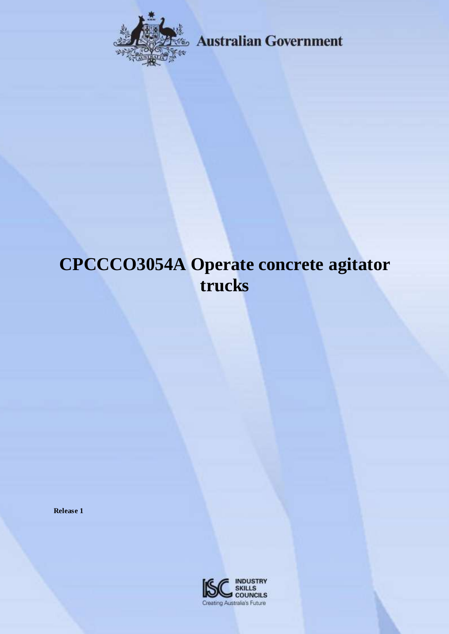

**Example 3 Australian Government** 

# **CPCCCO3054A Operate concrete agitator trucks**

**Release 1**

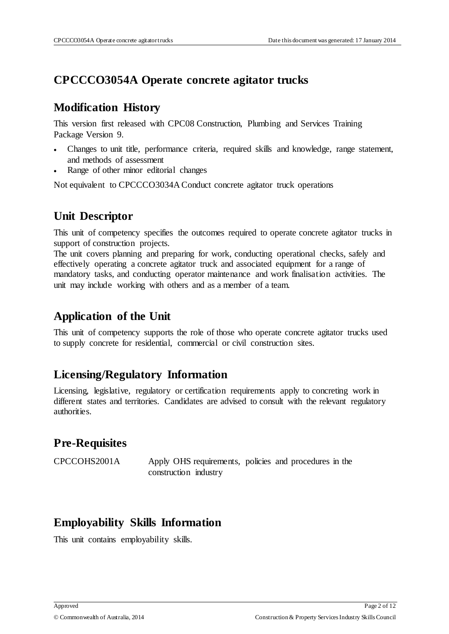## **CPCCCO3054A Operate concrete agitator trucks**

#### **Modification History**

This version first released with CPC08 Construction, Plumbing and Services Training Package Version 9.

- Changes to unit title, performance criteria, required skills and knowledge, range statement, and methods of assessment
- Range of other minor editorial changes

Not equivalent to CPCCCO3034A Conduct concrete agitator truck operations

# **Unit Descriptor**

This unit of competency specifies the outcomes required to operate concrete agitator trucks in support of construction projects.

The unit covers planning and preparing for work, conducting operational checks, safely and effectively operating a concrete agitator truck and associated equipment for a range of mandatory tasks, and conducting operator maintenance and work finalisation activities. The unit may include working with others and as a member of a team.

## **Application of the Unit**

This unit of competency supports the role of those who operate concrete agitator trucks used to supply concrete for residential, commercial or civil construction sites.

#### **Licensing/Regulatory Information**

Licensing, legislative, regulatory or certification requirements apply to concreting work in different states and territories. Candidates are advised to consult with the relevant regulatory authorities.

## **Pre-Requisites**

CPCCOHS2001A Apply OHS requirements, policies and procedures in the construction industry

#### **Employability Skills Information**

This unit contains employability skills.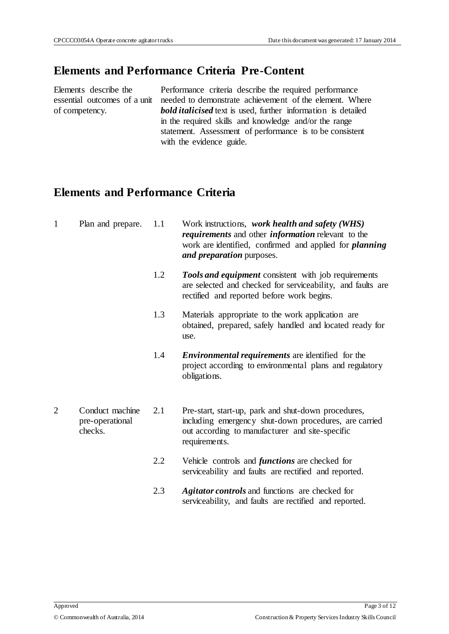#### **Elements and Performance Criteria Pre-Content**

Elements describe the of competency.

essential outcomes of a unit needed to demonstrate achievement of the element. Where Performance criteria describe the required performance *bold italicised* text is used, further information is detailed in the required skills and knowledge and/or the range statement. Assessment of performance is to be consistent with the evidence guide.

## **Elements and Performance Criteria**

| $\mathbf{1}$   | Plan and prepare.                             | 1.1 | Work instructions, work health and safety (WHS)<br><i>requirements</i> and other <i>information</i> relevant to the<br>work are identified, confirmed and applied for <i>planning</i><br>and preparation purposes. |
|----------------|-----------------------------------------------|-----|--------------------------------------------------------------------------------------------------------------------------------------------------------------------------------------------------------------------|
|                |                                               | 1.2 | <b>Tools and equipment</b> consistent with job requirements<br>are selected and checked for serviceability, and faults are<br>rectified and reported before work begins.                                           |
|                |                                               | 1.3 | Materials appropriate to the work application are<br>obtained, prepared, safely handled and located ready for<br>use.                                                                                              |
|                |                                               | 1.4 | <i>Environmental requirements</i> are identified for the<br>project according to environmental plans and regulatory<br>obligations.                                                                                |
| $\overline{2}$ | Conduct machine<br>pre-operational<br>checks. | 2.1 | Pre-start, start-up, park and shut-down procedures,<br>including emergency shut-down procedures, are carried<br>out according to manufacturer and site-specific<br>requirements.                                   |
|                |                                               | 2.2 | Vehicle controls and <i>functions</i> are checked for<br>serviceability and faults are rectified and reported.                                                                                                     |
|                |                                               | 2.3 | <b>Agitator controls</b> and functions are checked for<br>serviceability, and faults are rectified and reported.                                                                                                   |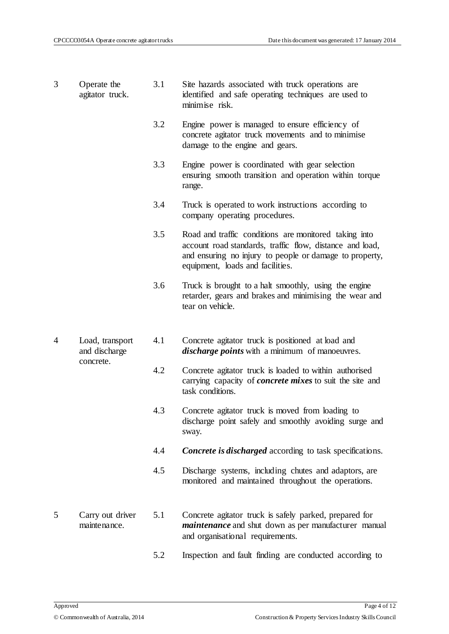- 3 Operate the agitator truck. 3.1 Site hazards associated with truck operations are identified and safe operating techniques are used to minimise risk.
	- 3.2 Engine power is managed to ensure efficiency of concrete agitator truck movements and to minimise damage to the engine and gears.
	- 3.3 Engine power is coordinated with gear selection ensuring smooth transition and operation within torque range.
	- 3.4 Truck is operated to work instructions according to company operating procedures.
	- 3.5 Road and traffic conditions are monitored taking into account road standards, traffic flow, distance and load, and ensuring no injury to people or damage to property, equipment, loads and facilities.
	- 3.6 Truck is brought to a halt smoothly, using the engine retarder, gears and brakes and minimising the wear and tear on vehicle.
- 4 Load, transport and discharge concrete. 4.1 Concrete agitator truck is positioned at load and *discharge points* with a minimum of manoeuvres.
	- 4.2 Concrete agitator truck is loaded to within authorised carrying capacity of *concrete mixes* to suit the site and task conditions.
	- 4.3 Concrete agitator truck is moved from loading to discharge point safely and smoothly avoiding surge and sway.
	- 4.4 *Concrete is discharged* according to task specifications.
	- 4.5 Discharge systems, including chutes and adaptors, are monitored and maintained throughout the operations.
- 5 Carry out driver maintenance. 5.1 Concrete agitator truck is safely parked, prepared for *maintenance* and shut down as per manufacturer manual and organisational requirements.
	- 5.2 Inspection and fault finding are conducted according to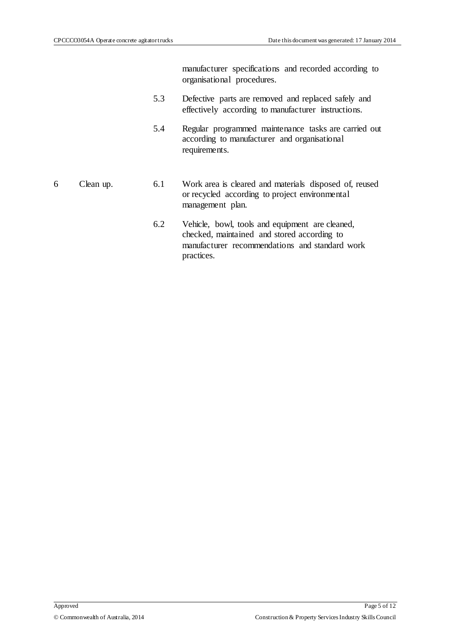manufacturer specifications and recorded according to organisational procedures.

- 5.3 Defective parts are removed and replaced safely and effectively according to manufacturer instructions.
- 5.4 Regular programmed maintenance tasks are carried out according to manufacturer and organisational requirements.
- 6 Clean up. 6.1 Work area is cleared and materials disposed of, reused or recycled according to project environmental management plan.
	- 6.2 Vehicle, bowl, tools and equipment are cleaned, checked, maintained and stored according to manufacturer recommendations and standard work practices.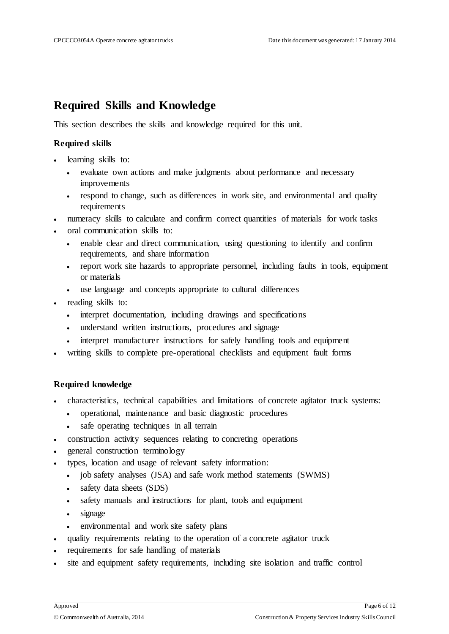#### **Required Skills and Knowledge**

This section describes the skills and knowledge required for this unit.

#### **Required skills**

- learning skills to:
	- evaluate own actions and make judgments about performance and necessary improvements
	- respond to change, such as differences in work site, and environmental and quality requirements
- numeracy skills to calculate and confirm correct quantities of materials for work tasks
- oral communication skills to:
	- enable clear and direct communication, using questioning to identify and confirm requirements, and share information
	- report work site hazards to appropriate personnel, including faults in tools, equipment or materials
	- use language and concepts appropriate to cultural differences
- reading skills to:
	- interpret documentation, including drawings and specifications
	- understand written instructions, procedures and signage
	- interpret manufacturer instructions for safely handling tools and equipment
- writing skills to complete pre-operational checklists and equipment fault forms

#### **Required knowledge**

- characteristics, technical capabilities and limitations of concrete agitator truck systems:
	- operational, maintenance and basic diagnostic procedures
	- safe operating techniques in all terrain
- construction activity sequences relating to concreting operations
- general construction terminology
- types, location and usage of relevant safety information:
	- job safety analyses (JSA) and safe work method statements (SWMS)
	- safety data sheets (SDS)
	- safety manuals and instructions for plant, tools and equipment
	- signage
	- environmental and work site safety plans
- quality requirements relating to the operation of a concrete agitator truck
- requirements for safe handling of materials
- site and equipment safety requirements, including site isolation and traffic control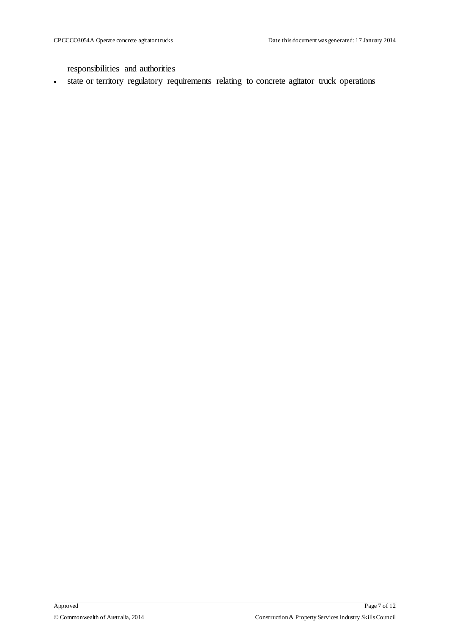responsibilities and authorities

state or territory regulatory requirements relating to concrete agitator truck operations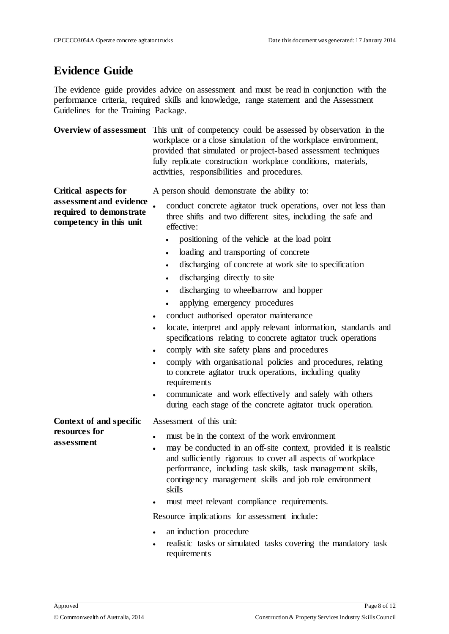#### **Evidence Guide**

**Critical aspects for** 

The evidence guide provides advice on assessment and must be read in conjunction with the performance criteria, required skills and knowledge, range statement and the Assessment Guidelines for the Training Package.

**Overview of assessment** This unit of competency could be assessed by observation in the workplace or a close simulation of the workplace environment, provided that simulated or project-based assessment techniques fully replicate construction workplace conditions, materials, activities, responsibilities and procedures.

A person should demonstrate the ability to:

**assessment and evidence required to demonstrate competency in this unit** conduct concrete agitator truck operations, over not less than three shifts and two different sites, including the safe and effective:

- positioning of the vehicle at the load point
- loading and transporting of concrete
- discharging of concrete at work site to specification
- discharging directly to site
- discharging to wheelbarrow and hopper
- applying emergency procedures
- conduct authorised operator maintenance
- locate, interpret and apply relevant information, standards and specifications relating to concrete agitator truck operations
- comply with site safety plans and procedures
- comply with organisational policies and procedures, relating to concrete agitator truck operations, including quality requirements
- communicate and work effectively and safely with others during each stage of the concrete agitator truck operation.

**Context of and specific**  Assessment of this unit:

**resources for assessment**

- must be in the context of the work environment
- may be conducted in an off-site context, provided it is realistic and sufficiently rigorous to cover all aspects of workplace performance, including task skills, task management skills, contingency management skills and job role environment skills
- must meet relevant compliance requirements.

Resource implications for assessment include:

- an induction procedure
- realistic tasks or simulated tasks covering the mandatory task requirements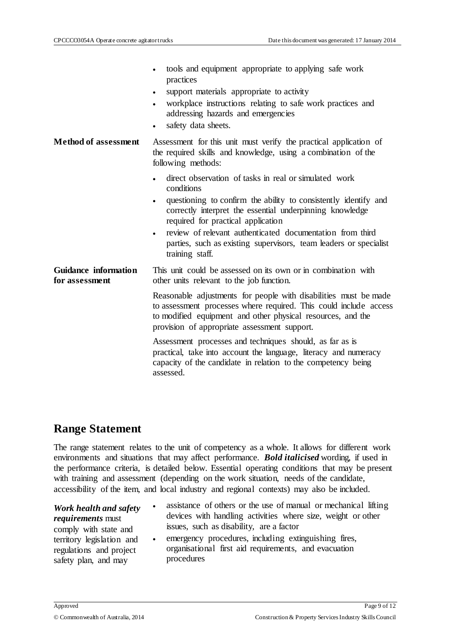|                                               | tools and equipment appropriate to applying safe work<br>practices<br>support materials appropriate to activity<br>$\bullet$<br>workplace instructions relating to safe work practices and<br>$\bullet$<br>addressing hazards and emergencies<br>safety data sheets.<br>$\bullet$                                                                                                                                                    |
|-----------------------------------------------|--------------------------------------------------------------------------------------------------------------------------------------------------------------------------------------------------------------------------------------------------------------------------------------------------------------------------------------------------------------------------------------------------------------------------------------|
| <b>Method of assessment</b>                   | Assessment for this unit must verify the practical application of<br>the required skills and knowledge, using a combination of the<br>following methods:                                                                                                                                                                                                                                                                             |
|                                               | direct observation of tasks in real or simulated work<br>$\bullet$<br>conditions<br>questioning to confirm the ability to consistently identify and<br>$\bullet$<br>correctly interpret the essential underpinning knowledge<br>required for practical application<br>review of relevant authenticated documentation from third<br>$\bullet$<br>parties, such as existing supervisors, team leaders or specialist<br>training staff. |
| <b>Guidance</b> information<br>for assessment | This unit could be assessed on its own or in combination with<br>other units relevant to the job function.                                                                                                                                                                                                                                                                                                                           |
|                                               | Reasonable adjustments for people with disabilities must be made<br>to assessment processes where required. This could include access<br>to modified equipment and other physical resources, and the<br>provision of appropriate assessment support.                                                                                                                                                                                 |
|                                               | Assessment processes and techniques should, as far as is<br>practical, take into account the language, literacy and numeracy<br>capacity of the candidate in relation to the competency being<br>assessed.                                                                                                                                                                                                                           |

#### **Range Statement**

The range statement relates to the unit of competency as a whole. It allows for different work environments and situations that may affect performance. *Bold italicised* wording, if used in the performance criteria, is detailed below. Essential operating conditions that may be present with training and assessment (depending on the work situation, needs of the candidate, accessibility of the item, and local industry and regional contexts) may also be included.

#### *Work health and safety requirements* must

comply with state and territory legislation and regulations and project safety plan, and may

- assistance of others or the use of manual or mechanical lifting devices with handling activities where size, weight or other issues, such as disability, are a factor
- emergency procedures, including extinguishing fires, organisational first aid requirements, and evacuation procedures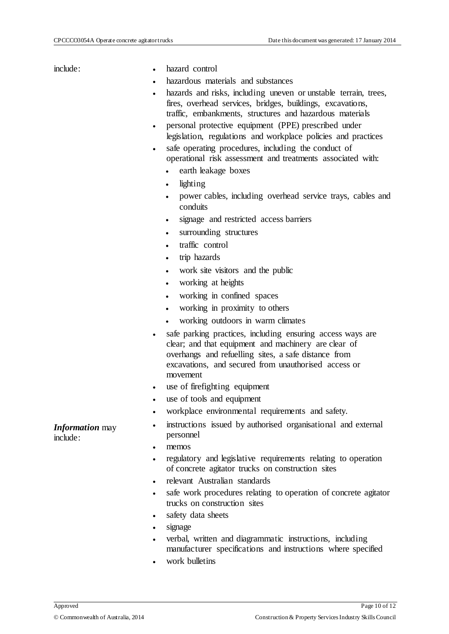- include: hazard control
	- hazardous materials and substances
	- hazards and risks, including uneven or unstable terrain, trees, fires, overhead services, bridges, buildings, excavations, traffic, embankments, structures and hazardous materials
	- personal protective equipment (PPE) prescribed under legislation, regulations and workplace policies and practices
	- safe operating procedures, including the conduct of operational risk assessment and treatments associated with:
		- earth leakage boxes
		- lighting
		- power cables, including overhead service trays, cables and conduits
		- signage and restricted access barriers
		- surrounding structures
		- traffic control
		- trip hazards
		- work site visitors and the public
		- working at heights
		- working in confined spaces
		- working in proximity to others
		- working outdoors in warm climates
	- safe parking practices, including ensuring access ways are clear; and that equipment and machinery are clear of overhangs and refuelling sites, a safe distance from excavations, and secured from unauthorised access or movement
	- use of firefighting equipment
	- use of tools and equipment
	- workplace environmental requirements and safety.
	- instructions issued by authorised organisational and external personnel
	- memos
	- regulatory and legislative requirements relating to operation of concrete agitator trucks on construction sites
	- relevant Australian standards
	- safe work procedures relating to operation of concrete agitator trucks on construction sites
	- safety data sheets
	- signage
	- verbal, written and diagrammatic instructions, including manufacturer specifications and instructions where specified
	- work bulletins

*Information* may include: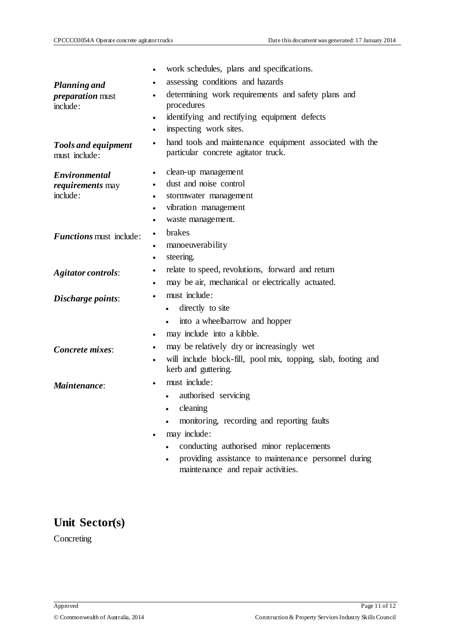|                                             | work schedules, plans and specifications.<br>$\bullet$                                                       |
|---------------------------------------------|--------------------------------------------------------------------------------------------------------------|
| <b>Planning and</b>                         | assessing conditions and hazards<br>٠                                                                        |
| <i>preparation</i> must<br>include:         | determining work requirements and safety plans and<br>$\bullet$<br>procedures                                |
|                                             | identifying and rectifying equipment defects<br>$\bullet$                                                    |
|                                             | inspecting work sites.<br>٠                                                                                  |
| <b>Tools and equipment</b><br>must include: | hand tools and maintenance equipment associated with the<br>$\bullet$<br>particular concrete agitator truck. |
| <b>Environmental</b>                        | clean-up management<br>$\bullet$                                                                             |
| requirements may                            | dust and noise control<br>٠                                                                                  |
| include:                                    | stormwater management<br>٠                                                                                   |
|                                             | vibration management<br>$\bullet$                                                                            |
|                                             | waste management.<br>٠                                                                                       |
| <b>Functions</b> must include:              | brakes<br>٠                                                                                                  |
|                                             | manoeuverability<br>٠                                                                                        |
|                                             | steering.<br>٠                                                                                               |
| <b>Agitator controls:</b>                   | relate to speed, revolutions, forward and return<br>$\bullet$                                                |
|                                             | may be air, mechanical or electrically actuated.                                                             |
| Discharge points:                           | must include:                                                                                                |
|                                             | directly to site<br>$\bullet$                                                                                |
|                                             | into a wheelbarrow and hopper<br>$\bullet$                                                                   |
|                                             | may include into a kibble.<br>$\bullet$                                                                      |
| Concrete mixes:                             | may be relatively dry or increasingly wet<br>٠                                                               |
|                                             | will include block-fill, pool mix, topping, slab, footing and<br>kerb and guttering.                         |
| Maintenance:                                | must include:                                                                                                |
|                                             | authorised servicing                                                                                         |
|                                             | cleaning                                                                                                     |
|                                             | monitoring, recording and reporting faults                                                                   |
|                                             | may include:                                                                                                 |
|                                             | conducting authorised minor replacements                                                                     |
|                                             | providing assistance to maintenance personnel during<br>maintenance and repair activities.                   |

# **Unit Sector(s)**

Concreting